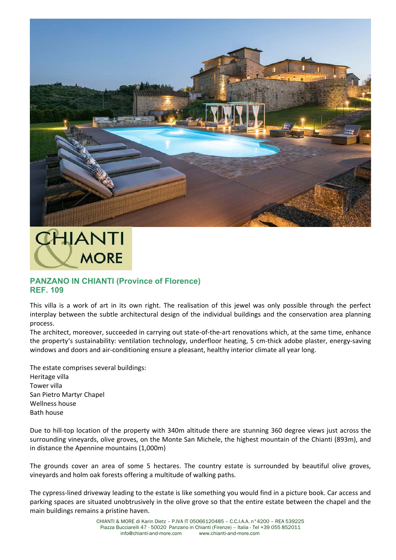

# CHIANTI **MORE**

# **PANZANO IN CHIANTI (Province of Florence) REF. 109**

This villa is a work of art in its own right. The realisation of this jewel was only possible through the perfect interplay between the subtle architectural design of the individual buildings and the conservation area planning process.

The architect, moreover, succeeded in carrying out state-of-the-art renovations which, at the same time, enhance the property's sustainability: ventilation technology, underfloor heating, 5 cm-thick adobe plaster, energy-saving windows and doors and air-conditioning ensure a pleasant, healthy interior climate all year long.

The estate comprises several buildings: Heritage villa Tower villa San Pietro Martyr Chapel Wellness house Bath house

Due to hill-top location of the property with 340m altitude there are stunning 360 degree views just across the surrounding vineyards, olive groves, on the Monte San Michele, the highest mountain of the Chianti (893m), and in distance the Apennine mountains (1,000m)

The grounds cover an area of some 5 hectares. The country estate is surrounded by beautiful olive groves, vineyards and holm oak forests offering a multitude of walking paths.

The cypress-lined driveway leading to the estate is like something you would find in a picture book. Car access and parking spaces are situated unobtrusively in the olive grove so that the entire estate between the chapel and the main buildings remains a pristine haven.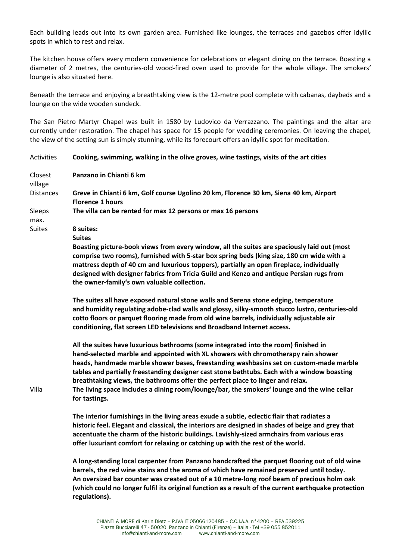Each building leads out into its own garden area. Furnished like lounges, the terraces and gazebos offer idyllic spots in which to rest and relax.

The kitchen house offers every modern convenience for celebrations or elegant dining on the terrace. Boasting a diameter of 2 metres, the centuries-old wood-fired oven used to provide for the whole village. The smokers' lounge is also situated here.

Beneath the terrace and enjoying a breathtaking view is the 12‐metre pool complete with cabanas, daybeds and a lounge on the wide wooden sundeck.

The San Pietro Martyr Chapel was built in 1580 by Ludovico da Verrazzano. The paintings and the altar are currently under restoration. The chapel has space for 15 people for wedding ceremonies. On leaving the chapel, the view of the setting sun is simply stunning, while its forecourt offers an idyllic spot for meditation.

Activities **Cooking, swimming, walking in the olive groves, wine tastings, visits of the art cities**

Closest village **Panzano in Chianti 6 km** Distances **Greve in Chianti 6 km, Golf course Ugolino 20 km, Florence 30 km, Siena 40 km, Airport Florence 1 hours** Sleeps max. **The villa can be rented for max 12 persons or max 16 persons**  Suites **8 suites: Suites Boasting picture‐book views from every window, all the suites are spaciously laid out (most comprise two rooms), furnished with 5‐star box spring beds (king size, 180 cm wide with a mattress depth of 40 cm and luxurious toppers), partially an open fireplace, individually designed with designer fabrics from Tricia Guild and Kenzo and antique Persian rugs from the owner‐family's own valuable collection. The suites all have exposed natural stone walls and Serena stone edging, temperature and humidity regulating adobe‐clad walls and glossy, silky‐smooth stucco lustro, centuries‐old cotto floors or parquet flooring made from old wine barrels, individually adjustable air conditioning, flat screen LED televisions and Broadband Internet access. All the suites have luxurious bathrooms (some integrated into the room) finished in hand‐selected marble and appointed with XL showers with chromotherapy rain shower heads, handmade marble shower bases, freestanding washbasins set on custom‐made marble** 

**breathtaking views, the bathrooms offer the perfect place to linger and relax.** Villa **The living space includes a dining room/lounge/bar, the smokers' lounge and the wine cellar for tastings.** 

**tables and partially freestanding designer cast stone bathtubs. Each with a window boasting** 

**The interior furnishings in the living areas exude a subtle, eclectic flair that radiates a historic feel. Elegant and classical, the interiors are designed in shades of beige and grey that accentuate the charm of the historic buildings. Lavishly‐sized armchairs from various eras offer luxuriant comfort for relaxing or catching up with the rest of the world.** 

**A long‐standing local carpenter from Panzano handcrafted the parquet flooring out of old wine barrels, the red wine stains and the aroma of which have remained preserved until today. An oversized bar counter was created out of a 10 metre‐long roof beam of precious holm oak (which could no longer fulfil its original function as a result of the current earthquake protection regulations).**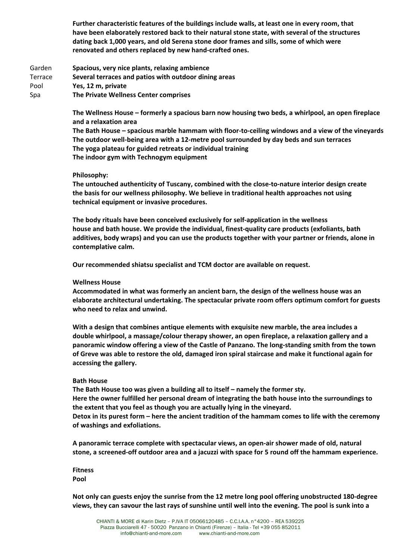**Further characteristic features of the buildings include walls, at least one in every room, that have been elaborately restored back to their natural stone state, with several of the structures dating back 1,000 years, and old Serena stone door frames and sills, some of which were renovated and others replaced by new hand‐crafted ones.** 

Garden **Spacious, very nice plants, relaxing ambience** Terrace **Several terraces and patios with outdoor dining areas** Pool Spa Yes, 12 m, private **The Private Wellness Center comprises** 

> **The Wellness House – formerly a spacious barn now housing two beds, a whirlpool, an open fireplace and a relaxation area**

**The Bath House – spacious marble hammam with floor‐to‐ceiling windows and a view of the vineyards The outdoor well‐being area with a 12‐metre pool surrounded by day beds and sun terraces The yoga plateau for guided retreats or individual training The indoor gym with Technogym equipment** 

# **Philosophy:**

**The untouched authenticity of Tuscany, combined with the close‐to‐nature interior design create the basis for our wellness philosophy. We believe in traditional health approaches not using technical equipment or invasive procedures.** 

**The body rituals have been conceived exclusively for self‐application in the wellness house and bath house. We provide the individual, finest‐quality care products (exfoliants, bath additives, body wraps) and you can use the products together with your partner or friends, alone in contemplative calm.** 

**Our recommended shiatsu specialist and TCM doctor are available on request.** 

# **Wellness House**

**Accommodated in what was formerly an ancient barn, the design of the wellness house was an elaborate architectural undertaking. The spectacular private room offers optimum comfort for guests who need to relax and unwind.** 

**With a design that combines antique elements with exquisite new marble, the area includes a double whirlpool, a massage/colour therapy shower, an open fireplace, a relaxation gallery and a**  panoramic window offering a view of the Castle of Panzano. The long-standing smith from the town **of Greve was able to restore the old, damaged iron spiral staircase and make it functional again for accessing the gallery.** 

#### **Bath House**

**The Bath House too was given a building all to itself – namely the former sty. Here the owner fulfilled her personal dream of integrating the bath house into the surroundings to the extent that you feel as though you are actually lying in the vineyard. Detox in its purest form – here the ancient tradition of the hammam comes to life with the ceremony** 

**of washings and exfoliations.** 

**A panoramic terrace complete with spectacular views, an open‐air shower made of old, natural stone, a screened‐off outdoor area and a jacuzzi with space for 5 round off the hammam experience.** 

**Fitness Pool** 

**Not only can guests enjoy the sunrise from the 12 metre long pool offering unobstructed 180‐degree views, they can savour the last rays of sunshine until well into the evening. The pool is sunk into a**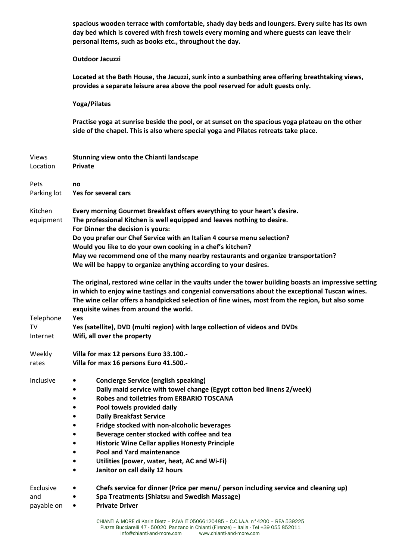**spacious wooden terrace with comfortable, shady day beds and loungers. Every suite has its own day bed which is covered with fresh towels every morning and where guests can leave their personal items, such as books etc., throughout the day.** 

#### **Outdoor Jacuzzi**

**Located at the Bath House, the Jacuzzi, sunk into a sunbathing area offering breathtaking views, provides a separate leisure area above the pool reserved for adult guests only.** 

#### **Yoga/Pilates**

**Practise yoga at sunrise beside the pool, or at sunset on the spacious yoga plateau on the other side of the chapel. This is also where special yoga and Pilates retreats take place.** 

| <b>Views</b>   | <b>Stunning view onto the Chianti landscape</b>                                                                                                                                                                                                                                                                                                         |
|----------------|---------------------------------------------------------------------------------------------------------------------------------------------------------------------------------------------------------------------------------------------------------------------------------------------------------------------------------------------------------|
| Location       | <b>Private</b>                                                                                                                                                                                                                                                                                                                                          |
| Pets           | no                                                                                                                                                                                                                                                                                                                                                      |
| Parking lot    | Yes for several cars                                                                                                                                                                                                                                                                                                                                    |
| Kitchen        | Every morning Gourmet Breakfast offers everything to your heart's desire.                                                                                                                                                                                                                                                                               |
| equipment      | The professional Kitchen is well equipped and leaves nothing to desire.                                                                                                                                                                                                                                                                                 |
|                | For Dinner the decision is yours:                                                                                                                                                                                                                                                                                                                       |
|                | Do you prefer our Chef Service with an Italian 4 course menu selection?                                                                                                                                                                                                                                                                                 |
|                | Would you like to do your own cooking in a chef's kitchen?<br>May we recommend one of the many nearby restaurants and organize transportation?                                                                                                                                                                                                          |
|                | We will be happy to organize anything according to your desires.                                                                                                                                                                                                                                                                                        |
|                | The original, restored wine cellar in the vaults under the tower building boasts an impressive setting<br>in which to enjoy wine tastings and congenial conversations about the exceptional Tuscan wines.<br>The wine cellar offers a handpicked selection of fine wines, most from the region, but also some<br>exquisite wines from around the world. |
| Telephone      | Yes                                                                                                                                                                                                                                                                                                                                                     |
| TV<br>Internet | Yes (satellite), DVD (multi region) with large collection of videos and DVDs<br>Wifi, all over the property                                                                                                                                                                                                                                             |
| Weekly         | Villa for max 12 persons Euro 33.100 .-                                                                                                                                                                                                                                                                                                                 |
| rates          | Villa for max 16 persons Euro 41.500 .-                                                                                                                                                                                                                                                                                                                 |
| Inclusive      | <b>Concierge Service (english speaking)</b><br>٠                                                                                                                                                                                                                                                                                                        |
|                | Daily maid service with towel change (Egypt cotton bed linens 2/week)                                                                                                                                                                                                                                                                                   |
|                | <b>Robes and toiletries from ERBARIO TOSCANA</b>                                                                                                                                                                                                                                                                                                        |
|                | Pool towels provided daily                                                                                                                                                                                                                                                                                                                              |
|                | <b>Daily Breakfast Service</b><br>Fridge stocked with non-alcoholic beverages                                                                                                                                                                                                                                                                           |
|                | Beverage center stocked with coffee and tea                                                                                                                                                                                                                                                                                                             |
|                | <b>Historic Wine Cellar applies Honesty Principle</b>                                                                                                                                                                                                                                                                                                   |
|                | Pool and Yard maintenance                                                                                                                                                                                                                                                                                                                               |
|                | Utilities (power, water, heat, AC and Wi-Fi)                                                                                                                                                                                                                                                                                                            |
|                | Janitor on call daily 12 hours                                                                                                                                                                                                                                                                                                                          |
| Exclusive      | Chefs service for dinner (Price per menu/ person including service and cleaning up)                                                                                                                                                                                                                                                                     |
| and            | Spa Treatments (Shiatsu and Swedish Massage)                                                                                                                                                                                                                                                                                                            |
| payable on     | <b>Private Driver</b>                                                                                                                                                                                                                                                                                                                                   |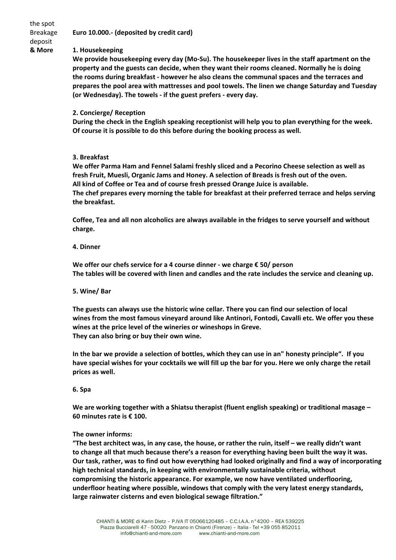the spot Breakage deposit

# **Euro 10.000.‐ (deposited by credit card)**

#### **& More 1. Housekeeping**

We provide housekeeping every day (Mo-Su). The housekeeper lives in the staff apartment on the **property and the guests can decide, when they want their rooms cleaned. Normally he is doing**  the rooms during breakfast - however he also cleans the communal spaces and the terraces and **prepares the pool area with mattresses and pool towels. The linen we change Saturday and Tuesday (or Wednesday). The towels ‐ if the guest prefers ‐ every day.** 

#### **2. Concierge/ Reception**

**During the check in the English speaking receptionist will help you to plan everything for the week. Of course it is possible to do this before during the booking process as well.** 

# **3. Breakfast**

**We offer Parma Ham and Fennel Salami freshly sliced and a Pecorino Cheese selection as well as fresh Fruit, Muesli, Organic Jams and Honey. A selection of Breads is fresh out of the oven. All kind of Coffee or Tea and of course fresh pressed Orange Juice is available.**  The chef prepares every morning the table for breakfast at their preferred terrace and helps serving **the breakfast.** 

**Coffee, Tea and all non alcoholics are always available in the fridges to serve yourself and without charge.** 

# **4. Dinner**

We offer our chefs service for a 4 course dinner - we charge € 50/ person **The tables will be covered with linen and candles and the rate includes the service and cleaning up.** 

#### **5. Wine/ Bar**

**The guests can always use the historic wine cellar. There you can find our selection of local wines from the most famous vineyard around like Antinori, Fontodi, Cavalli etc. We offer you these wines at the price level of the wineries or wineshops in Greve. They can also bring or buy their own wine.** 

**In the bar we provide a selection of bottles, which they can use in an" honesty principle". If you have special wishes for your cocktails we will fill up the bar for you. Here we only charge the retail prices as well.** 

**6. Spa** 

**We are working together with a Shiatsu therapist (fluent english speaking) or traditional masage – 60 minutes rate is € 100.** 

# **The owner informs:**

**"The best architect was, in any case, the house, or rather the ruin, itself – we really didn't want to change all that much because there's a reason for everything having been built the way it was. Our task, rather, was to find out how everything had looked originally and find a way of incorporating high technical standards, in keeping with environmentally sustainable criteria, without compromising the historic appearance. For example, we now have ventilated underflooring, underfloor heating where possible, windows that comply with the very latest energy standards, large rainwater cisterns and even biological sewage filtration."**